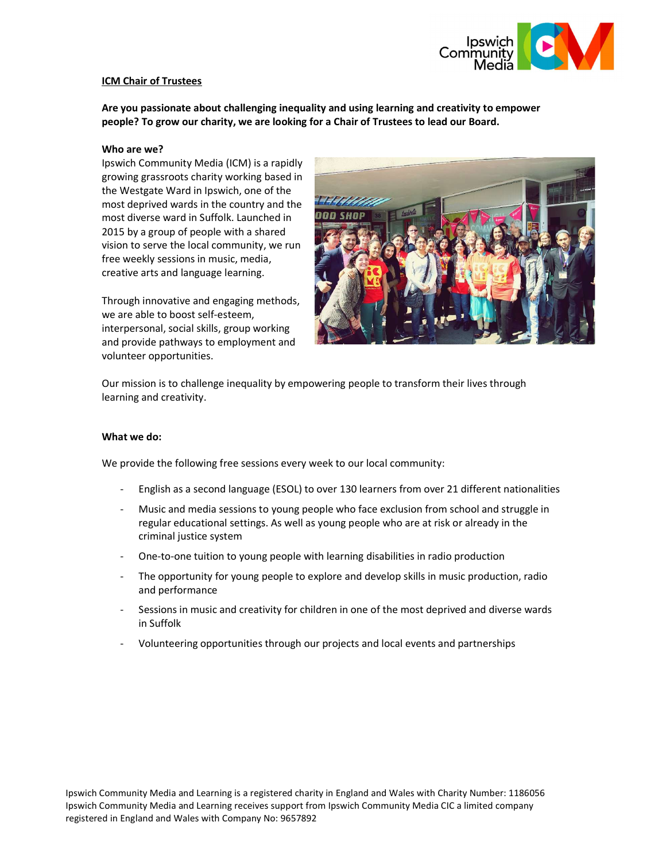

## ICM Chair of Trustees

Are you passionate about challenging inequality and using learning and creativity to empower people? To grow our charity, we are looking for a Chair of Trustees to lead our Board.

#### Who are we?

Ipswich Community Media (ICM) is a rapidly growing grassroots charity working based in the Westgate Ward in Ipswich, one of the most deprived wards in the country and the most diverse ward in Suffolk. Launched in 2015 by a group of people with a shared vision to serve the local community, we run free weekly sessions in music, media, creative arts and language learning.

Through innovative and engaging methods, we are able to boost self-esteem, interpersonal, social skills, group working and provide pathways to employment and volunteer opportunities.



Our mission is to challenge inequality by empowering people to transform their lives through learning and creativity.

## What we do:

We provide the following free sessions every week to our local community:

- English as a second language (ESOL) to over 130 learners from over 21 different nationalities
- Music and media sessions to young people who face exclusion from school and struggle in regular educational settings. As well as young people who are at risk or already in the criminal justice system
- One-to-one tuition to young people with learning disabilities in radio production
- The opportunity for young people to explore and develop skills in music production, radio and performance
- Sessions in music and creativity for children in one of the most deprived and diverse wards in Suffolk
- Volunteering opportunities through our projects and local events and partnerships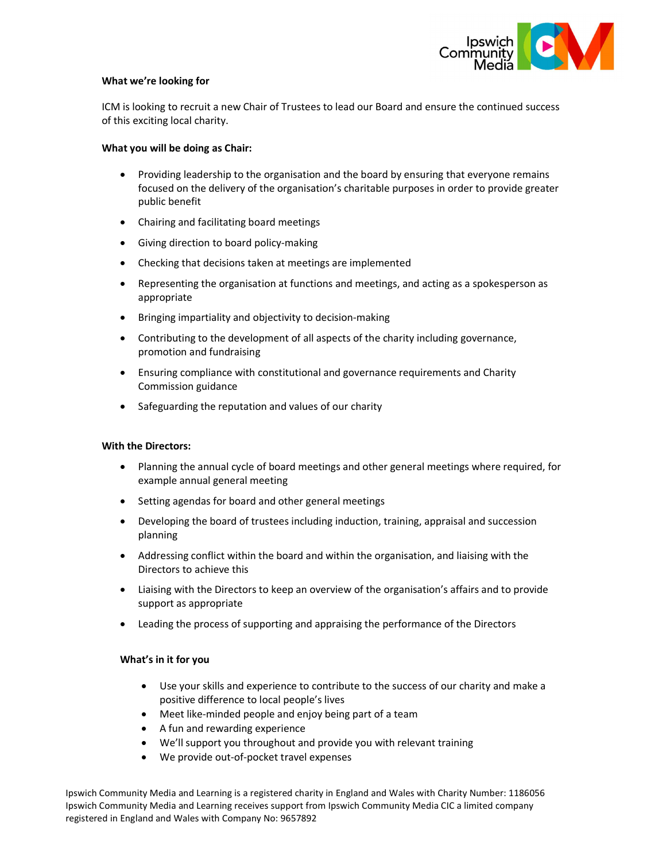

#### What we're looking for

ICM is looking to recruit a new Chair of Trustees to lead our Board and ensure the continued success of this exciting local charity.

#### What you will be doing as Chair:

- Providing leadership to the organisation and the board by ensuring that everyone remains focused on the delivery of the organisation's charitable purposes in order to provide greater public benefit
- Chairing and facilitating board meetings
- Giving direction to board policy-making
- Checking that decisions taken at meetings are implemented
- Representing the organisation at functions and meetings, and acting as a spokesperson as appropriate
- Bringing impartiality and objectivity to decision-making
- Contributing to the development of all aspects of the charity including governance, promotion and fundraising
- Ensuring compliance with constitutional and governance requirements and Charity Commission guidance
- Safeguarding the reputation and values of our charity

## With the Directors:

- Planning the annual cycle of board meetings and other general meetings where required, for example annual general meeting
- Setting agendas for board and other general meetings
- Developing the board of trustees including induction, training, appraisal and succession planning
- Addressing conflict within the board and within the organisation, and liaising with the Directors to achieve this
- Liaising with the Directors to keep an overview of the organisation's affairs and to provide support as appropriate
- Leading the process of supporting and appraising the performance of the Directors

## What's in it for you

- Use your skills and experience to contribute to the success of our charity and make a positive difference to local people's lives
- Meet like-minded people and enjoy being part of a team
- A fun and rewarding experience
- We'll support you throughout and provide you with relevant training
- We provide out-of-pocket travel expenses

Ipswich Community Media and Learning is a registered charity in England and Wales with Charity Number: 1186056 Ipswich Community Media and Learning receives support from Ipswich Community Media CIC a limited company registered in England and Wales with Company No: 9657892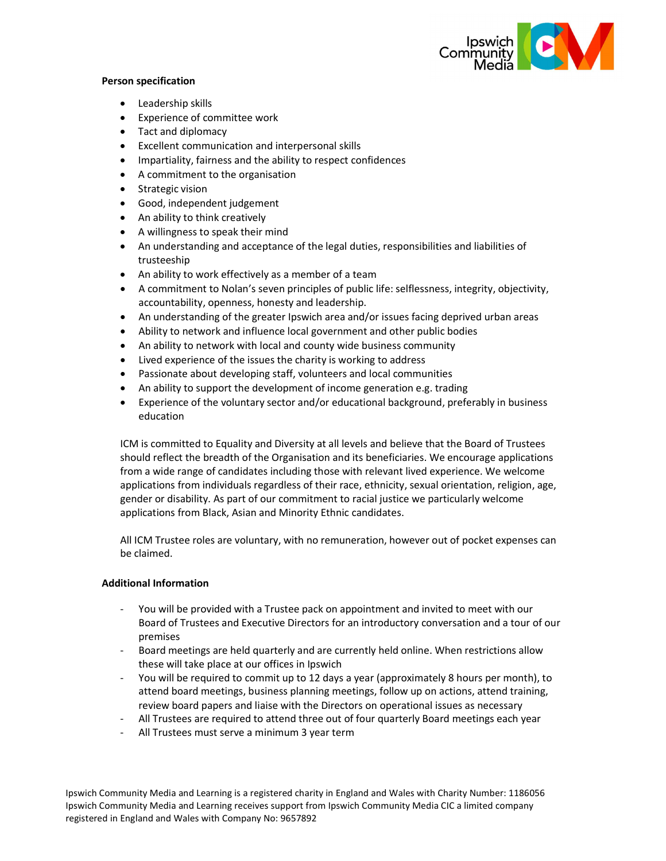

## Person specification

- Leadership skills
- Experience of committee work
- Tact and diplomacy
- Excellent communication and interpersonal skills
- Impartiality, fairness and the ability to respect confidences
- A commitment to the organisation
- Strategic vision
- Good, independent judgement
- An ability to think creatively
- A willingness to speak their mind
- An understanding and acceptance of the legal duties, responsibilities and liabilities of trusteeship
- An ability to work effectively as a member of a team
- A commitment to Nolan's seven principles of public life: selflessness, integrity, objectivity, accountability, openness, honesty and leadership.
- An understanding of the greater Ipswich area and/or issues facing deprived urban areas
- Ability to network and influence local government and other public bodies
- An ability to network with local and county wide business community
- Lived experience of the issues the charity is working to address
- Passionate about developing staff, volunteers and local communities
- An ability to support the development of income generation e.g. trading
- Experience of the voluntary sector and/or educational background, preferably in business education

ICM is committed to Equality and Diversity at all levels and believe that the Board of Trustees should reflect the breadth of the Organisation and its beneficiaries. We encourage applications from a wide range of candidates including those with relevant lived experience. We welcome applications from individuals regardless of their race, ethnicity, sexual orientation, religion, age, gender or disability. As part of our commitment to racial justice we particularly welcome applications from Black, Asian and Minority Ethnic candidates.

All ICM Trustee roles are voluntary, with no remuneration, however out of pocket expenses can be claimed.

## Additional Information

- You will be provided with a Trustee pack on appointment and invited to meet with our Board of Trustees and Executive Directors for an introductory conversation and a tour of our premises
- Board meetings are held quarterly and are currently held online. When restrictions allow these will take place at our offices in Ipswich
- You will be required to commit up to 12 days a year (approximately 8 hours per month), to attend board meetings, business planning meetings, follow up on actions, attend training, review board papers and liaise with the Directors on operational issues as necessary
- All Trustees are required to attend three out of four quarterly Board meetings each year
- All Trustees must serve a minimum 3 year term

Ipswich Community Media and Learning is a registered charity in England and Wales with Charity Number: 1186056 Ipswich Community Media and Learning receives support from Ipswich Community Media CIC a limited company registered in England and Wales with Company No: 9657892